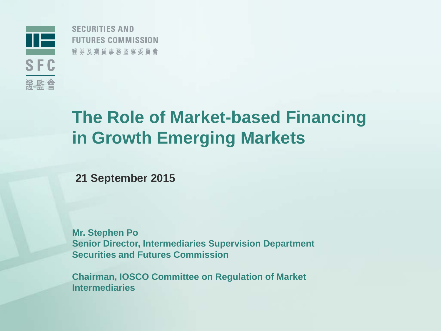

**SECURITIES AND FUTURES COMMISSION** 證券及期貨事務監察委員會

## **The Role of Market-based Financing in Growth Emerging Markets**

**21 September 2015**

**Mr. Stephen Po Senior Director, Intermediaries Supervision Department Securities and Futures Commission**

**Chairman, IOSCO Committee on Regulation of Market Intermediaries**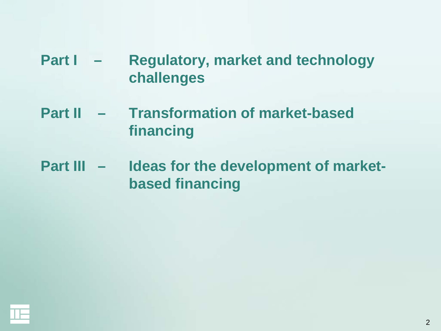### **Part I – Regulatory, market and technology challenges**

- **Part II – Transformation of market-based financing**
- **Part III – Ideas for the development of marketbased financing**

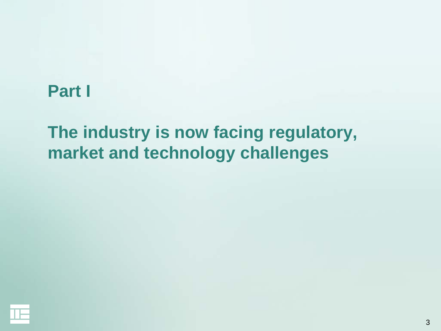### **Part I**

# **The industry is now facing regulatory, market and technology challenges**

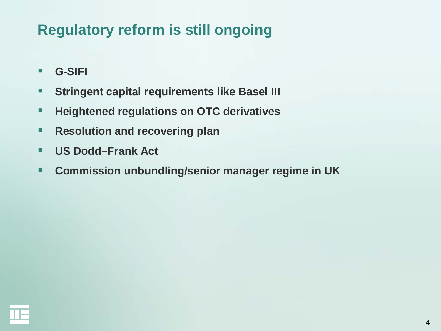## **Regulatory reform is still ongoing**

- **G-SIFI**
- **Stringent capital requirements like Basel III**
- **Heightened regulations on OTC derivatives**
- **Resolution and recovering plan**
- **US Dodd–Frank Act**
- **Commission unbundling/senior manager regime in UK**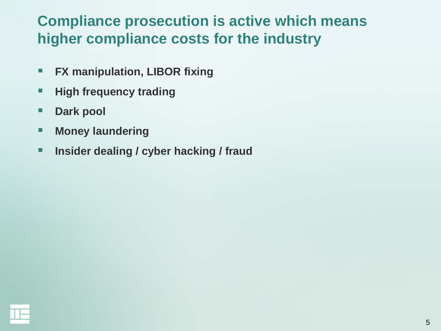### **Compliance prosecution is active which means higher compliance costs for the industry**

- **FX manipulation, LIBOR fixing**
- **High frequency trading**
- **Dark pool**
- **Money laundering**
- **Insider dealing / cyber hacking / fraud**

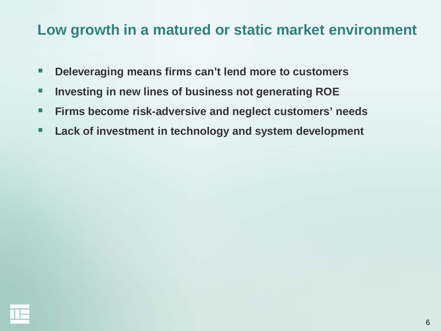### **Low growth in a matured or static market environment**

- **Deleveraging means firms can't lend more to customers**
- **Investing in new lines of business not generating ROE**
- **Firms become risk-adversive and neglect customers' needs**
- **Lack of investment in technology and system development**

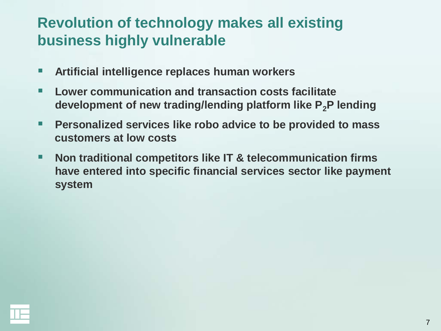### **Revolution of technology makes all existing business highly vulnerable**

- **Artificial intelligence replaces human workers**
- Lower communication and transaction costs facilitate **development of new trading/lending platform like P2P lending**
- **Personalized services like robo advice to be provided to mass customers at low costs**
- **Non traditional competitors like IT & telecommunication firms have entered into specific financial services sector like payment system**

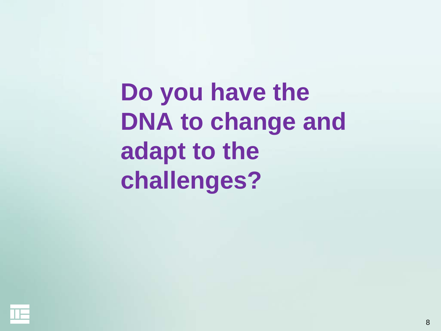**Do you have the DNA to change and adapt to the challenges?**

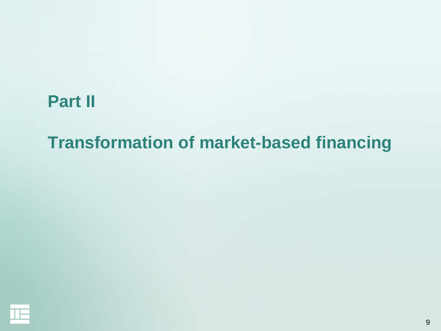## **Part II**

## **Transformation of market-based financing**

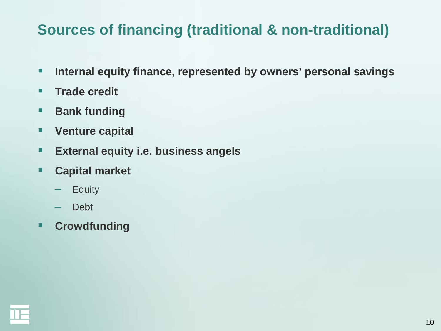### **Sources of financing (traditional & non-traditional)**

- **Internal equity finance, represented by owners' personal savings**
- **Trade credit**
- **Bank funding**
- **Venture capital**
- **External equity i.e. business angels**
- **Capital market**
	- **Equity**
	- Debt
- **Crowdfunding**

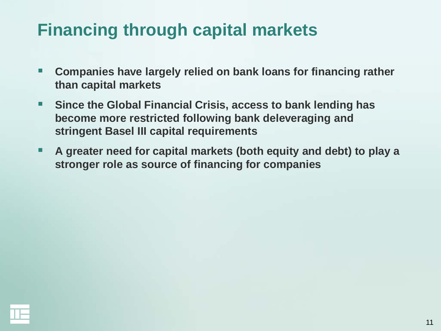# **Financing through capital markets**

- **Companies have largely relied on bank loans for financing rather than capital markets**
- Since the Global Financial Crisis, access to bank lending has **become more restricted following bank deleveraging and stringent Basel III capital requirements**
- **A greater need for capital markets (both equity and debt) to play a stronger role as source of financing for companies**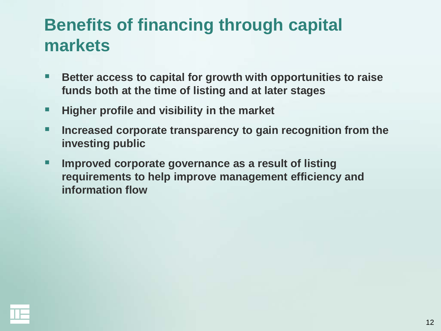# **Benefits of financing through capital markets**

- Better access to capital for growth with opportunities to raise **funds both at the time of listing and at later stages**
- **Higher profile and visibility in the market**
- **Increased corporate transparency to gain recognition from the investing public**
- **IMPROVED CORPORATE GOVERTANCE AS A result of listing requirements to help improve management efficiency and information flow**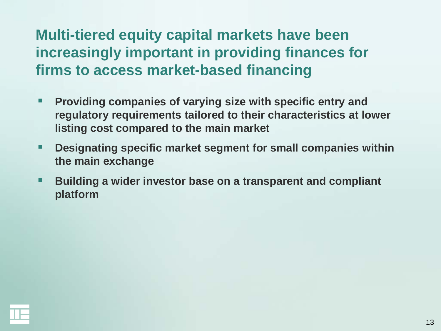## **Multi-tiered equity capital markets have been increasingly important in providing finances for firms to access market-based financing**

- **Providing companies of varying size with specific entry and regulatory requirements tailored to their characteristics at lower listing cost compared to the main market**
- **Designating specific market segment for small companies within the main exchange**
- **Building a wider investor base on a transparent and compliant platform**

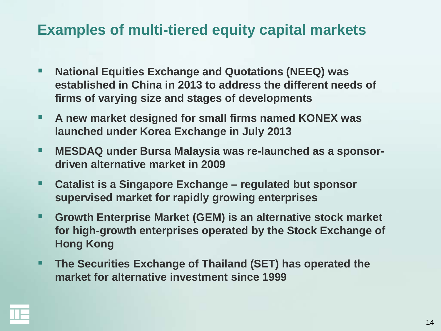### **Examples of multi-tiered equity capital markets**

- **National Equities Exchange and Quotations (NEEQ) was established in China in 2013 to address the different needs of firms of varying size and stages of developments**
- **A new market designed for small firms named KONEX was launched under Korea Exchange in July 2013**
- **MESDAQ under Bursa Malaysia was re-launched as a sponsordriven alternative market in 2009**
- **Catalist is a Singapore Exchange – regulated but sponsor supervised market for rapidly growing enterprises**
- **Growth Enterprise Market (GEM) is an alternative stock market for high-growth enterprises operated by the Stock Exchange of Hong Kong**
- **The Securities Exchange of Thailand (SET) has operated the market for alternative investment since 1999**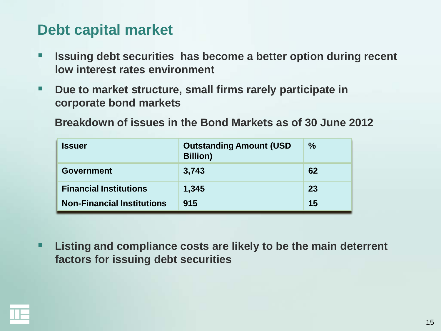#### **Debt capital market**

- **ISSUING debt securities has become a better option during recent low interest rates environment**
- **Due to market structure, small firms rarely participate in corporate bond markets**

**Breakdown of issues in the Bond Markets as of 30 June 2012**

| <b>Issuer</b>                     | <b>Outstanding Amount (USD</b><br><b>Billion</b> ) | $\frac{6}{6}$ |
|-----------------------------------|----------------------------------------------------|---------------|
| <b>Government</b>                 | 3,743                                              | 62            |
| <b>Financial Institutions</b>     | 1,345                                              | 23            |
| <b>Non-Financial Institutions</b> | 915                                                | 15            |

 **Listing and compliance costs are likely to be the main deterrent factors for issuing debt securities**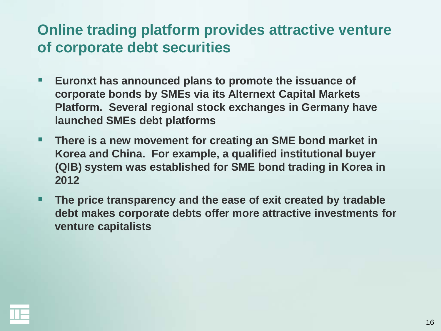### **Online trading platform provides attractive venture of corporate debt securities**

- **Euronxt has announced plans to promote the issuance of corporate bonds by SMEs via its Alternext Capital Markets Platform. Several regional stock exchanges in Germany have launched SMEs debt platforms**
- **There is a new movement for creating an SME bond market in Korea and China. For example, a qualified institutional buyer (QIB) system was established for SME bond trading in Korea in 2012**
- **The price transparency and the ease of exit created by tradable debt makes corporate debts offer more attractive investments for venture capitalists**

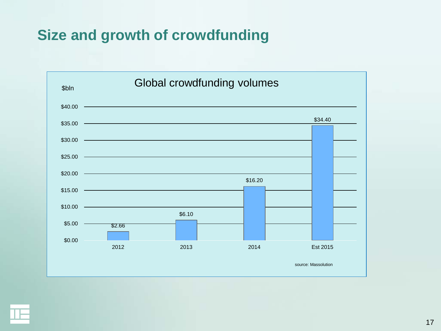### **Size and growth of crowdfunding**



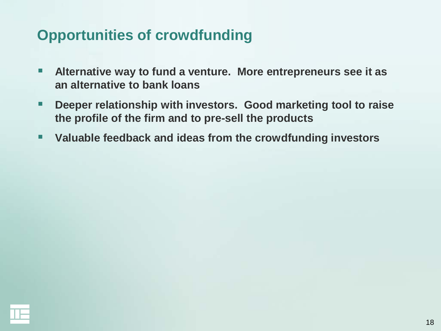### **Opportunities of crowdfunding**

- **Alternative way to fund a venture. More entrepreneurs see it as an alternative to bank loans**
- **Deeper relationship with investors. Good marketing tool to raise the profile of the firm and to pre-sell the products**
- **Valuable feedback and ideas from the crowdfunding investors**

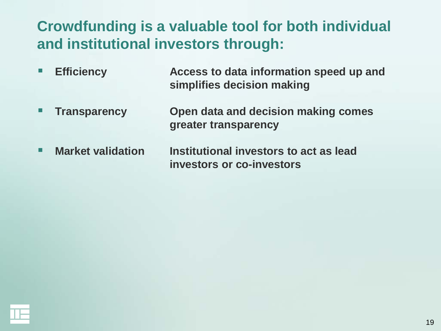## **Crowdfunding is a valuable tool for both individual and institutional investors through:**

- **Efficiency Access to data information speed up and simplifies decision making**
- **Transparency Open data and decision making comes greater transparency**
- **Market validation build institutional investors to act as lead investors or co-investors**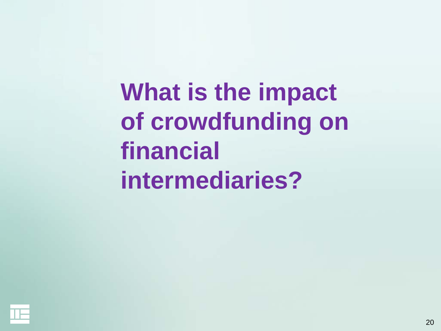**What is the impact of crowdfunding on financial intermediaries?**

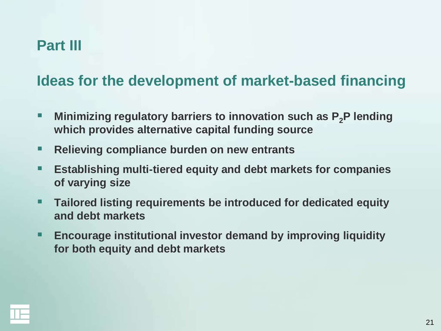#### **Part III**

#### **Ideas for the development of market-based financing**

- **Minimizing regulatory barriers to innovation such as P<sub>2</sub>P lending which provides alternative capital funding source**
- Relieving compliance burden on new entrants
- **Establishing multi-tiered equity and debt markets for companies of varying size**
- **Tailored listing requirements be introduced for dedicated equity and debt markets**
- **Encourage institutional investor demand by improving liquidity for both equity and debt markets**